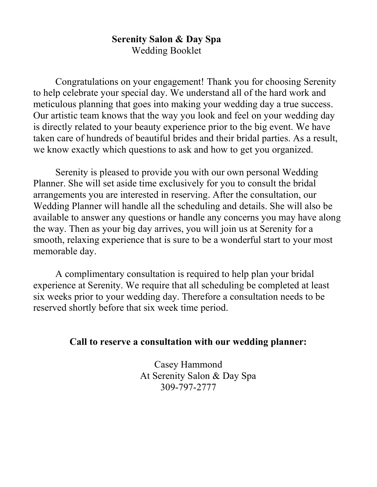#### Serenity Salon & Day Spa Wedding Booklet

Congratulations on your engagement! Thank you for choosing Serenity to help celebrate your special day. We understand all of the hard work and meticulous planning that goes into making your wedding day a true success. Our artistic team knows that the way you look and feel on your wedding day is directly related to your beauty experience prior to the big event. We have taken care of hundreds of beautiful brides and their bridal parties. As a result, we know exactly which questions to ask and how to get you organized.

Serenity is pleased to provide you with our own personal Wedding Planner. She will set aside time exclusively for you to consult the bridal arrangements you are interested in reserving. After the consultation, our Wedding Planner will handle all the scheduling and details. She will also be available to answer any questions or handle any concerns you may have along the way. Then as your big day arrives, you will join us at Serenity for a smooth, relaxing experience that is sure to be a wonderful start to your most memorable day.

A complimentary consultation is required to help plan your bridal experience at Serenity. We require that all scheduling be completed at least six weeks prior to your wedding day. Therefore a consultation needs to be reserved shortly before that six week time period.

#### Call to reserve a consultation with our wedding planner:

Casey Hammond At Serenity Salon & Day Spa 309-797-2777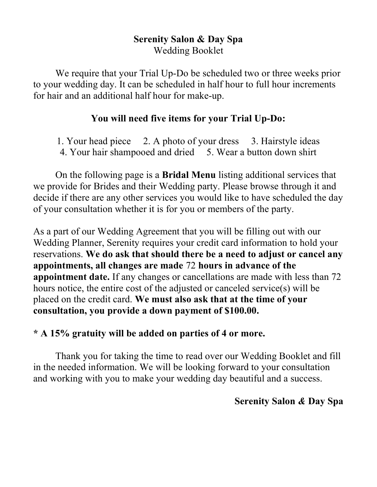# Serenity Salon & Day Spa Wedding Booklet

We require that your Trial Up-Do be scheduled two or three weeks prior to your wedding day. It can be scheduled in half hour to full hour increments for hair and an additional half hour for make-up.

# You will need five items for your Trial Up-Do:

1. Your head piece 2. A photo of your dress 3. Hairstyle ideas 4. Your hair shampooed and dried 5. Wear a button down shirt

On the following page is a Bridal Menu listing additional services that we provide for Brides and their Wedding party. Please browse through it and decide if there are any other services you would like to have scheduled the day of your consultation whether it is for you or members of the party.

As a part of our Wedding Agreement that you will be filling out with our Wedding Planner, Serenity requires your credit card information to hold your reservations. We do ask that should there be a need to adjust or cancel any appointments, all changes are made 72 hours in advance of the appointment date. If any changes or cancellations are made with less than 72 hours notice, the entire cost of the adjusted or canceled service(s) will be placed on the credit card. We must also ask that at the time of your consultation, you provide a down payment of \$100.00.

# \* A 15% gratuity will be added on parties of 4 or more.

Thank you for taking the time to read over our Wedding Booklet and fill in the needed information. We will be looking forward to your consultation and working with you to make your wedding day beautiful and a success.

### Serenity Salon & Day Spa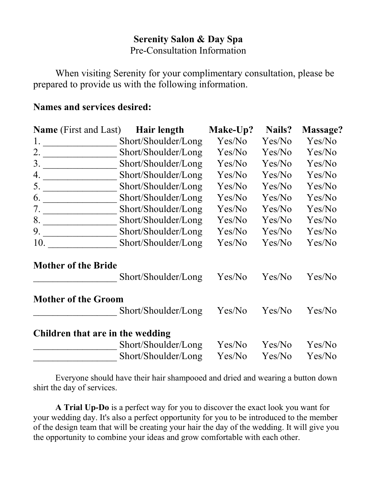## Serenity Salon & Day Spa Pre-Consultation Information

When visiting Serenity for your complimentary consultation, please be prepared to provide us with the following information.

# Names and services desired:

| <b>Name</b> (First and Last)     | Hair length         | Make-Up? | Nails? | Massage? |
|----------------------------------|---------------------|----------|--------|----------|
| 1.                               | Short/Shoulder/Long | Yes/No   | Yes/No | Yes/No   |
| 2.                               | Short/Shoulder/Long | Yes/No   | Yes/No | Yes/No   |
| 3.                               | Short/Shoulder/Long | Yes/No   | Yes/No | Yes/No   |
| 4.                               | Short/Shoulder/Long | Yes/No   | Yes/No | Yes/No   |
|                                  | Short/Shoulder/Long | Yes/No   | Yes/No | Yes/No   |
| 6.                               | Short/Shoulder/Long | Yes/No   | Yes/No | Yes/No   |
| 7.                               | Short/Shoulder/Long | Yes/No   | Yes/No | Yes/No   |
| 8.                               | Short/Shoulder/Long | Yes/No   | Yes/No | Yes/No   |
| 9.                               | Short/Shoulder/Long | Yes/No   | Yes/No | Yes/No   |
| 10.                              | Short/Shoulder/Long | Yes/No   | Yes/No | Yes/No   |
| <b>Mother of the Bride</b>       |                     |          |        |          |
|                                  | Short/Shoulder/Long | Yes/No   | Yes/No | Yes/No   |
| <b>Mother of the Groom</b>       |                     |          |        |          |
|                                  | Short/Shoulder/Long | Yes/No   | Yes/No | Yes/No   |
| Children that are in the wedding |                     |          |        |          |
|                                  | Short/Shoulder/Long | Yes/No   | Yes/No | Yes/No   |
|                                  | Short/Shoulder/Long | Yes/No   | Yes/No | Yes/No   |

Everyone should have their hair shampooed and dried and wearing a button down shirt the day of services.

A Trial Up-Do is a perfect way for you to discover the exact look you want for your wedding day. It's also a perfect opportunity for you to be introduced to the member of the design team that will be creating your hair the day of the wedding. It will give you the opportunity to combine your ideas and grow comfortable with each other.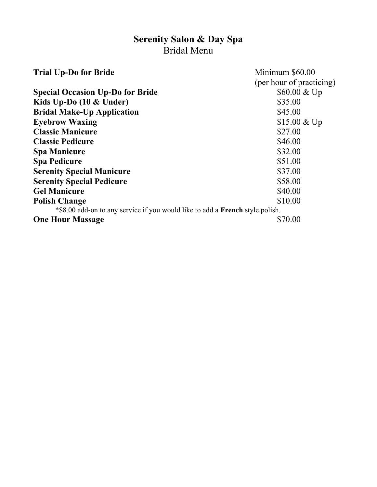# Serenity Salon & Day Spa Bridal Menu

| <b>Trial Up-Do for Bride</b>                                                  | Minimum \$60.00          |  |  |  |
|-------------------------------------------------------------------------------|--------------------------|--|--|--|
|                                                                               | (per hour of practicing) |  |  |  |
| <b>Special Occasion Up-Do for Bride</b>                                       | $$60.00 \& Up$           |  |  |  |
| Kids Up-Do $(10 \&$ Under)                                                    | \$35.00                  |  |  |  |
| <b>Bridal Make-Up Application</b>                                             | \$45.00                  |  |  |  |
| <b>Eyebrow Waxing</b>                                                         | $$15.00 \& Up$           |  |  |  |
| <b>Classic Manicure</b>                                                       | \$27.00                  |  |  |  |
| <b>Classic Pedicure</b>                                                       | \$46.00                  |  |  |  |
| <b>Spa Manicure</b>                                                           | \$32.00                  |  |  |  |
| <b>Spa Pedicure</b>                                                           | \$51.00                  |  |  |  |
| <b>Serenity Special Manicure</b>                                              | \$37.00                  |  |  |  |
| <b>Serenity Special Pedicure</b>                                              | \$58.00                  |  |  |  |
| <b>Gel Manicure</b>                                                           | \$40.00                  |  |  |  |
| <b>Polish Change</b>                                                          | \$10.00                  |  |  |  |
| *\$8.00 add-on to any service if you would like to add a French style polish. |                          |  |  |  |
| <b>One Hour Massage</b>                                                       | \$70.00                  |  |  |  |